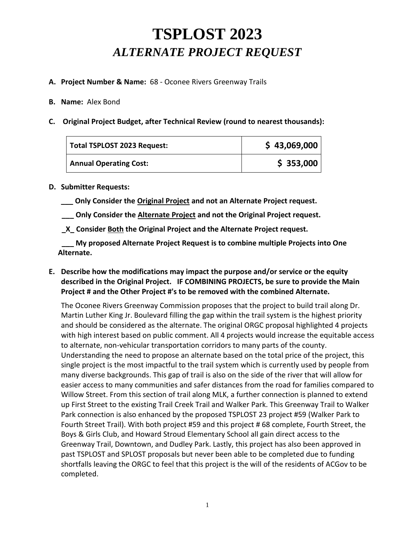# **TSPLOST 2023**  *ALTERNATE PROJECT REQUEST*

### **A. Project Number & Name:** 68 - Oconee Rivers Greenway Trails

#### **B. Name:** Alex Bond

**C. Original Project Budget, after Technical Review (round to nearest thousands):**

| Total TSPLOST 2023 Request:   | \$43,069,000 |
|-------------------------------|--------------|
| <b>Annual Operating Cost:</b> | \$353,000    |

#### **D. Submitter Requests:**

**\_\_\_ Only Consider the Original Project and not an Alternate Project request.**

**\_\_\_ Only Consider the Alternate Project and not the Original Project request.**

**\_X\_ Consider Both the Original Project and the Alternate Project request.**

**My proposed Alternate Project Request is to combine multiple Projects into One Alternate.**

## **E. Describe how the modifications may impact the purpose and/or service or the equity described in the Original Project. IF COMBINING PROJECTS, be sure to provide the Main Project # and the Other Project #'s to be removed with the combined Alternate.**

The Oconee Rivers Greenway Commission proposes that the project to build trail along Dr. Martin Luther King Jr. Boulevard filling the gap within the trail system is the highest priority and should be considered as the alternate. The original ORGC proposal highlighted 4 projects with high interest based on public comment. All 4 projects would increase the equitable access to alternate, non-vehicular transportation corridors to many parts of the county. Understanding the need to propose an alternate based on the total price of the project, this single project is the most impactful to the trail system which is currently used by people from many diverse backgrounds. This gap of trail is also on the side of the river that will allow for easier access to many communities and safer distances from the road for families compared to Willow Street. From this section of trail along MLK, a further connection is planned to extend up First Street to the existing Trail Creek Trail and Walker Park. This Greenway Trail to Walker Park connection is also enhanced by the proposed TSPLOST 23 project #59 (Walker Park to Fourth Street Trail). With both project #59 and this project # 68 complete, Fourth Street, the Boys & Girls Club, and Howard Stroud Elementary School all gain direct access to the Greenway Trail, Downtown, and Dudley Park. Lastly, this project has also been approved in past TSPLOST and SPLOST proposals but never been able to be completed due to funding shortfalls leaving the ORGC to feel that this project is the will of the residents of ACGov to be completed.